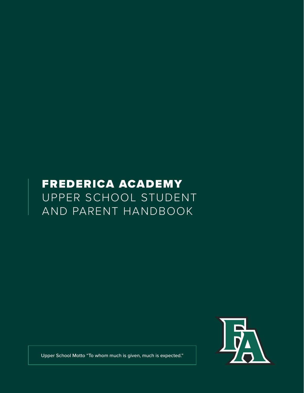# FREDERICA ACADEMY UPPER SCHOOL STUDENT AND PARENT HANDBOOK



Upper School Motto "To whom much is given, much is expected."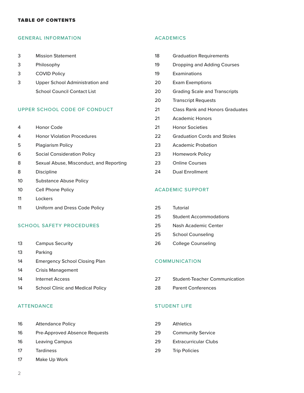#### TABLE OF CONTENTS

#### GENERAL INFORMATION

- Mission Statement
- Philosophy
- COVID Policy
- Upper School Administration and School Council Contact List

## UPPER SCHOOL CODE OF CONDUCT

- Honor Code
- Honor Violation Procedures
- Plagiarism Policy
- Social Consideration Policy
- Sexual Abuse, Misconduct, and Reporting
- Discipline
- Substance Abuse Policy
- Cell Phone Policy
- Lockers
- Uniform and Dress Code Policy

#### SCHOOL SAFETY PROCEDURES

- Campus Security
- Parking
- 14 Emergency School Closing Plan
- Crisis Management
- Internet Access
- 14 School Clinic and Medical Policy

# ATTENDANCE

- Attendance Policy
- Pre-Approved Absence Requests
- Leaving Campus
- Tardiness
- Make Up Work

## ACADEMICS

| 18                      | <b>Graduation Requirements</b>         |  |  |  |
|-------------------------|----------------------------------------|--|--|--|
| 19                      | Dropping and Adding Courses            |  |  |  |
| 19                      | Examinations                           |  |  |  |
| 20                      | <b>Exam Exemptions</b>                 |  |  |  |
| 20                      | <b>Grading Scale and Transcripts</b>   |  |  |  |
| 20                      | <b>Transcript Requests</b>             |  |  |  |
| 21                      | <b>Class Rank and Honors Graduates</b> |  |  |  |
| 21                      | <b>Academic Honors</b>                 |  |  |  |
| 21                      | <b>Honor Societies</b>                 |  |  |  |
| 22                      | <b>Graduation Cords and Stoles</b>     |  |  |  |
| 23                      | <b>Academic Probation</b>              |  |  |  |
| 23                      | <b>Homework Policy</b>                 |  |  |  |
| 23                      | <b>Online Courses</b>                  |  |  |  |
| 24                      | <b>Dual Enrollment</b>                 |  |  |  |
|                         |                                        |  |  |  |
| <b>ACADEMIC SUPPORT</b> |                                        |  |  |  |
|                         |                                        |  |  |  |
| 25                      | <b>Tutorial</b>                        |  |  |  |

- Student Accommodations
- Nash Academic Center
- School Counseling
- College Counseling

#### COMMUNICATION

- Student-Teacher Communication
- Parent Conferences

## STUDENT LIFE

 Athletics Community Service Extracurricular Clubs Trip Policies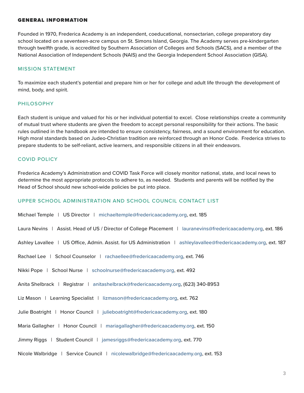# GENERAL INFORMATION

Founded in 1970, Frederica Academy is an independent, coeducational, nonsectarian, college preparatory day school located on a seventeen-acre campus on St. Simons Island, Georgia. The Academy serves pre-kindergarten through twelfth grade, is accredited by Southern Association of Colleges and Schools (SACS), and a member of the National Association of Independent Schools (NAIS) and the Georgia Independent School Association (GISA).

## MISSION STATEMENT

To maximize each student's potential and prepare him or her for college and adult life through the development of mind, body, and spirit.

# PHILOSOPHY

Each student is unique and valued for his or her individual potential to excel. Close relationships create a community of mutual trust where students are given the freedom to accept personal responsibility for their actions. The basic rules outlined in the handbook are intended to ensure consistency, fairness, and a sound environment for education. High moral standards based on Judeo-Christian tradition are reinforced through an Honor Code. Frederica strives to prepare students to be self-reliant, active learners, and responsible citizens in all their endeavors.

## COVID POLICY

Frederica Academy's Administration and COVID Task Force will closely monitor national, state, and local news to determine the most appropriate protocols to adhere to, as needed. Students and parents will be notified by the Head of School should new school-wide policies be put into place.

#### UPPER SCHOOL ADMINISTRATION AND SCHOOL COUNCIL CONTACT LIST

Michael Temple | US Director | michaeltemple@fredericaacademy.org, ext. 185

Laura Nevins | Assist. Head of US / Director of College Placement | lauranevins@fredericaacademy.org, ext. 186

Ashley Lavallee | US Office, Admin. Assist. for US Administration | ashleylavallee@fredericaacademy.org, ext. 187

Rachael Lee | School Counselor | rachaellee@fredericaacademy.org, ext. 746

Nikki Pope | School Nurse | schoolnurse@fredericaacademy.org, ext. 492

Anita Shelbrack | Registrar | anitashelbrack@fredericaacademy.org, (623) 340-8953

Liz Mason | Learning Specialist | lizmason@fredericaacademy.org, ext. 762

Julie Boatright | Honor Council | julieboatright@fredericaacademy.org, ext. 180

- Maria Gallagher | Honor Council | mariagallagher@fredericaacademy.org, ext. 150
- Jimmy Riggs | Student Council | jamesriggs@fredericaacademy.org, ext. 770
- Nicole Walbridge | Service Council | nicolewalbridge@fredericaacademy.org, ext. 153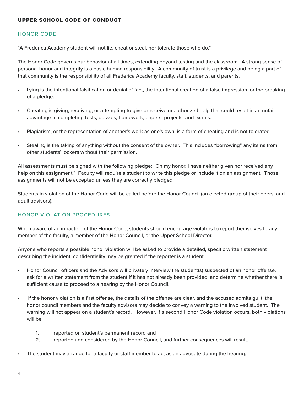# UPPER SCHOOL CODE OF CONDUCT

# HONOR CODE

"A Frederica Academy student will not lie, cheat or steal, nor tolerate those who do."

The Honor Code governs our behavior at all times, extending beyond testing and the classroom. A strong sense of personal honor and integrity is a basic human responsibility. A community of trust is a privilege and being a part of that community is the responsibility of all Frederica Academy faculty, staff, students, and parents.

- Lying is the intentional falsification or denial of fact, the intentional creation of a false impression, or the breaking of a pledge.
- Cheating is giving, receiving, or attempting to give or receive unauthorized help that could result in an unfair advantage in completing tests, quizzes, homework, papers, projects, and exams.
- Plagiarism, or the representation of another's work as one's own, is a form of cheating and is not tolerated.
- Stealing is the taking of anything without the consent of the owner. This includes "borrowing" any items from other students' lockers without their permission.

All assessments must be signed with the following pledge: "On my honor, I have neither given nor received any help on this assignment." Faculty will require a student to write this pledge or include it on an assignment. Those assignments will not be accepted unless they are correctly pledged.

Students in violation of the Honor Code will be called before the Honor Council (an elected group of their peers, and adult advisors).

# HONOR VIOLATION PROCEDURES

When aware of an infraction of the Honor Code, students should encourage violators to report themselves to any member of the faculty, a member of the Honor Council, or the Upper School Director.

Anyone who reports a possible honor violation will be asked to provide a detailed, specific written statement describing the incident; confidentiality may be granted if the reporter is a student.

- Honor Council officers and the Advisors will privately interview the student(s) suspected of an honor offense, ask for a written statement from the student if it has not already been provided, and determine whether there is sufficient cause to proceed to a hearing by the Honor Council.
- If the honor violation is a first offense, the details of the offense are clear, and the accused admits guilt, the honor council members and the faculty advisors may decide to convey a warning to the involved student. The warning will not appear on a student's record. However, if a second Honor Code violation occurs, both violations will be
	- 1. reported on student's permanent record and
	- 2. reported and considered by the Honor Council, and further consequences will result.
- The student may arrange for a faculty or staff member to act as an advocate during the hearing.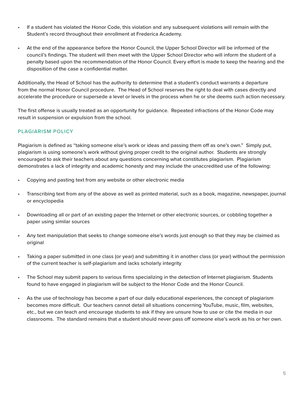- If a student has violated the Honor Code, this violation and any subsequent violations will remain with the Student's record throughout their enrollment at Frederica Academy.
- At the end of the appearance before the Honor Council, the Upper School Director will be informed of the council's findings. The student will then meet with the Upper School Director who will inform the student of a penalty based upon the recommendation of the Honor Council. Every effort is made to keep the hearing and the disposition of the case a confidential matter.

Additionally, the Head of School has the authority to determine that a student's conduct warrants a departure from the normal Honor Council procedure. The Head of School reserves the right to deal with cases directly and accelerate the procedure or supersede a level or levels in the process when he or she deems such action necessary.

The first offense is usually treated as an opportunity for guidance. Repeated infractions of the Honor Code may result in suspension or expulsion from the school.

# PLAGIARISM POLICY

Plagiarism is defined as "taking someone else's work or ideas and passing them off as one's own." Simply put, plagiarism is using someone's work without giving proper credit to the original author. Students are strongly encouraged to ask their teachers about any questions concerning what constitutes plagiarism. Plagiarism demonstrates a lack of integrity and academic honesty and may include the unaccredited use of the following:

- Copying and pasting text from any website or other electronic media
- Transcribing text from any of the above as well as printed material, such as a book, magazine, newspaper, journal or encyclopedia
- Downloading all or part of an existing paper the Internet or other electronic sources, or cobbling together a paper using similar sources
- Any text manipulation that seeks to change someone else's words just enough so that they may be claimed as original
- Taking a paper submitted in one class (or year) and submitting it in another class (or year) without the permission of the current teacher is self-plagiarism and lacks scholarly integrity
- The School may submit papers to various firms specializing in the detection of Internet plagiarism. Students found to have engaged in plagiarism will be subject to the Honor Code and the Honor Council.
- As the use of technology has become a part of our daily educational experiences, the concept of plagiarism becomes more difficult. Our teachers cannot detail all situations concerning YouTube, music, film, websites, etc., but we can teach and encourage students to ask if they are unsure how to use or cite the media in our classrooms. The standard remains that a student should never pass off someone else's work as his or her own.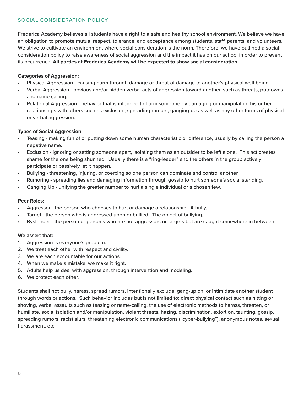# SOCIAL CONSIDERATION POLICY

Frederica Academy believes all students have a right to a safe and healthy school environment. We believe we have an obligation to promote mutual respect, tolerance, and acceptance among students, staff, parents, and volunteers. We strive to cultivate an environment where social consideration is the norm. Therefore, we have outlined a social consideration policy to raise awareness of social aggression and the impact it has on our school in order to prevent its occurrence. **All parties at Frederica Academy will be expected to show social consideration.**

## **Categories of Aggression:**

- Physical Aggression causing harm through damage or threat of damage to another's physical well-being.
- Verbal Aggression obvious and/or hidden verbal acts of aggression toward another, such as threats, putdowns and name calling.
- Relational Aggression behavior that is intended to harm someone by damaging or manipulating his or her relationships with others such as exclusion, spreading rumors, ganging-up as well as any other forms of physical or verbal aggression.

# **Types of Social Aggression:**

- Teasing making fun of or putting down some human characteristic or difference, usually by calling the person a negative name.
- Exclusion ignoring or setting someone apart, isolating them as an outsider to be left alone. This act creates shame for the one being shunned. Usually there is a "ring-leader" and the others in the group actively participate or passively let it happen.
- Bullying threatening, injuring, or coercing so one person can dominate and control another.
- Rumoring spreading lies and damaging information through gossip to hurt someone's social standing.
- Ganging Up unifying the greater number to hurt a single individual or a chosen few.

#### **Peer Roles:**

- Aggressor the person who chooses to hurt or damage a relationship. A bully.
- Target the person who is aggressed upon or bullied. The object of bullying.
- Bystander the person or persons who are not aggressors or targets but are caught somewhere in between.

#### **We assert that:**

- 1. Aggression is everyone's problem.
- 2. We treat each other with respect and civility.
- 3. We are each accountable for our actions.
- 4. When we make a mistake, we make it right.
- 5. Adults help us deal with aggression, through intervention and modeling.
- 6. We protect each other.

Students shall not bully, harass, spread rumors, intentionally exclude, gang-up on, or intimidate another student through words or actions. Such behavior includes but is not limited to: direct physical contact such as hitting or shoving, verbal assaults such as teasing or name-calling, the use of electronic methods to harass, threaten, or humiliate, social isolation and/or manipulation, violent threats, hazing, discrimination, extortion, taunting, gossip, spreading rumors, racist slurs, threatening electronic communications ("cyber-bullying"), anonymous notes, sexual harassment, etc.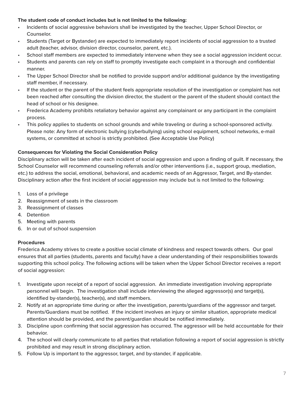# **The student code of conduct includes but is not limited to the following:**

- Incidents of social aggressive behaviors shall be investigated by the teacher, Upper School Director, or Counselor.
- Students (Target or Bystander) are expected to immediately report incidents of social aggression to a trusted adult (teacher, advisor, division director, counselor, parent, etc.).
- School staff members are expected to immediately intervene when they see a social aggression incident occur.
- Students and parents can rely on staff to promptly investigate each complaint in a thorough and confidential manner.
- The Upper School Director shall be notified to provide support and/or additional guidance by the investigating staff member, if necessary.
- If the student or the parent of the student feels appropriate resolution of the investigation or complaint has not been reached after consulting the division director, the student or the parent of the student should contact the head of school or his designee.
- Frederica Academy prohibits retaliatory behavior against any complainant or any participant in the complaint process.
- This policy applies to students on school grounds and while traveling or during a school-sponsored activity. Please note: Any form of electronic bullying (cyberbullying) using school equipment, school networks, e-mail systems, or committed at school is strictly prohibited. (See Acceptable Use Policy)

# **Consequences for Violating the Social Consideration Policy**

Disciplinary action will be taken after each incident of social aggression and upon a finding of guilt. If necessary, the School Counselor will recommend counseling referrals and/or other interventions (i.e., support group, mediation, etc.) to address the social, emotional, behavioral, and academic needs of an Aggressor, Target, and By-stander. Disciplinary action after the first incident of social aggression may include but is not limited to the following:

- 1. Loss of a privilege
- 2. Reassignment of seats in the classroom
- 3. Reassignment of classes
- 4. Detention
- 5. Meeting with parents
- 6. In or out of school suspension

# **Procedures**

Frederica Academy strives to create a positive social climate of kindness and respect towards others. Our goal ensures that all parties (students, parents and faculty) have a clear understanding of their responsibilities towards supporting this school policy. The following actions will be taken when the Upper School Director receives a report of social aggression:

- 1. Investigate upon receipt of a report of social aggression. An immediate investigation involving appropriate personnel will begin. The investigation shall include interviewing the alleged aggressor(s) and target(s), identified by-stander(s), teacher(s), and staff members.
- 2. Notify at an appropriate time during or after the investigation, parents/guardians of the aggressor and target. Parents/Guardians must be notified. If the incident involves an injury or similar situation, appropriate medical attention should be provided, and the parent/guardian should be notified immediately.
- 3. Discipline upon confirming that social aggression has occurred. The aggressor will be held accountable for their behavior.
- 4. The school will clearly communicate to all parties that retaliation following a report of social aggression is strictly prohibited and may result in strong disciplinary action.
- 5. Follow Up is important to the aggressor, target, and by-stander, if applicable.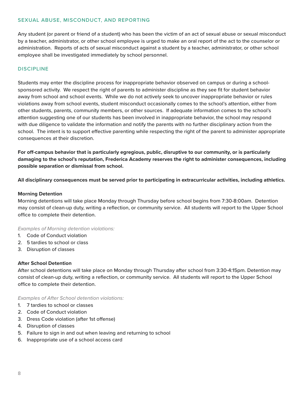# SEXUAL ABUSE, MISCONDUCT, AND REPORTING

Any student (or parent or friend of a student) who has been the victim of an act of sexual abuse or sexual misconduct by a teacher, administrator, or other school employee is urged to make an oral report of the act to the counselor or administration. Reports of acts of sexual misconduct against a student by a teacher, administrator, or other school employee shall be investigated immediately by school personnel.

# **DISCIPLINE**

Students may enter the discipline process for inappropriate behavior observed on campus or during a schoolsponsored activity. We respect the right of parents to administer discipline as they see fit for student behavior away from school and school events. While we do not actively seek to uncover inappropriate behavior or rules violations away from school events, student misconduct occasionally comes to the school's attention, either from other students, parents, community members, or other sources. If adequate information comes to the school's attention suggesting one of our students has been involved in inappropriate behavior, the school may respond with due diligence to validate the information and notify the parents with no further disciplinary action from the school. The intent is to support effective parenting while respecting the right of the parent to administer appropriate consequences at their discretion.

**For off-campus behavior that is particularly egregious, public, disruptive to our community, or is particularly damaging to the school's reputation, Frederica Academy reserves the right to administer consequences, including possible separation or dismissal from school.**

**All disciplinary consequences must be served prior to participating in extracurricular activities, including athletics.**

## **Morning Detention**

Morning detentions will take place Monday through Thursday before school begins from 7:30-8:00am. Detention may consist of clean-up duty, writing a reflection, or community service. All students will report to the Upper School office to complete their detention.

#### *Examples of Morning detention violations:*

- 1. Code of Conduct violation
- 2. 5 tardies to school or class
- 3. Disruption of classes

#### **After School Detention**

After school detentions will take place on Monday through Thursday after school from 3:30-4:15pm. Detention may consist of clean-up duty, writing a reflection, or community service. All students will report to the Upper School office to complete their detention.

*Examples of After School detention violations:*

- 1. 7 tardies to school or classes
- 2. Code of Conduct violation
- 3. Dress Code violation (after 1st offense)
- 4. Disruption of classes
- 5. Failure to sign in and out when leaving and returning to school
- 6. Inappropriate use of a school access card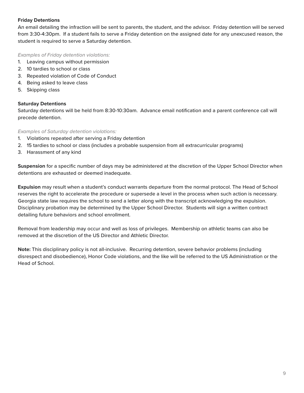# **Friday Detentions**

An email detailing the infraction will be sent to parents, the student, and the advisor. Friday detention will be served from 3:30-4:30pm. If a student fails to serve a Friday detention on the assigned date for any unexcused reason, the student is required to serve a Saturday detention.

*Examples of Friday detention violations:*

- 1. Leaving campus without permission
- 2. 10 tardies to school or class
- 3. Repeated violation of Code of Conduct
- 4. Being asked to leave class
- 5. Skipping class

# **Saturday Detentions**

Saturday detentions will be held from 8:30-10:30am. Advance email notification and a parent conference call will precede detention.

# *Examples of Saturday detention violations:*

- 1. Violations repeated after serving a Friday detention
- 2. 15 tardies to school or class (includes a probable suspension from all extracurricular programs)
- 3. Harassment of any kind

**Suspension** for a specific number of days may be administered at the discretion of the Upper School Director when detentions are exhausted or deemed inadequate.

**Expulsion** may result when a student's conduct warrants departure from the normal protocol. The Head of School reserves the right to accelerate the procedure or supersede a level in the process when such action is necessary. Georgia state law requires the school to send a letter along with the transcript acknowledging the expulsion. Disciplinary probation may be determined by the Upper School Director. Students will sign a written contract detailing future behaviors and school enrollment.

Removal from leadership may occur and well as loss of privileges. Membership on athletic teams can also be removed at the discretion of the US Director and Athletic Director.

**Note:** This disciplinary policy is not all-inclusive. Recurring detention, severe behavior problems (including disrespect and disobedience), Honor Code violations, and the like will be referred to the US Administration or the Head of School.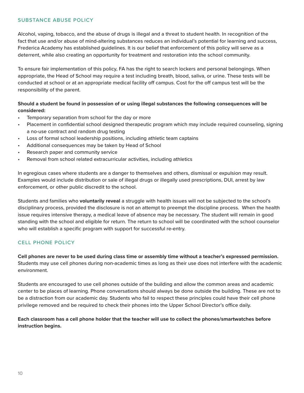# SUBSTANCE ABUSE POLICY

Alcohol, vaping, tobacco, and the abuse of drugs is illegal and a threat to student health. In recognition of the fact that use and/or abuse of mind-altering substances reduces an individual's potential for learning and success, Frederica Academy has established guidelines. It is our belief that enforcement of this policy will serve as a deterrent, while also creating an opportunity for treatment and restoration into the school community.

To ensure fair implementation of this policy, FA has the right to search lockers and personal belongings. When appropriate, the Head of School may require a test including breath, blood, saliva, or urine. These tests will be conducted at school or at an appropriate medical facility off campus. Cost for the off campus test will be the responsibility of the parent.

# **Should a student be found in possession of or using illegal substances the following consequences will be considered:**

- Temporary separation from school for the day or more
- Placement in confidential school designed therapeutic program which may include required counseling, signing a no-use contract and random drug testing
- Loss of formal school leadership positions, including athletic team captains
- Additional consequences may be taken by Head of School
- Research paper and community service
- Removal from school related extracurricular activities, including athletics

In egregious cases where students are a danger to themselves and others, dismissal or expulsion may result. Examples would include distribution or sale of illegal drugs or illegally used prescriptions, DUI, arrest by law enforcement, or other public discredit to the school.

Students and families who **voluntarily reveal** a struggle with health issues will not be subjected to the school's disciplinary process, provided the disclosure is not an attempt to preempt the discipline process. When the health issue requires intensive therapy, a medical leave of absence may be necessary. The student will remain in good standing with the school and eligible for return. The return to school will be coordinated with the school counselor who will establish a specific program with support for successful re-entry.

# CELL PHONE POLICY

**Cell phones are never to be used during class time or assembly time without a teacher's expressed permission.** Students may use cell phones during non-academic times as long as their use does not interfere with the academic environment.

Students are encouraged to use cell phones outside of the building and allow the common areas and academic center to be places of learning. Phone conversations should always be done outside the building. These are not to be a distraction from our academic day. Students who fail to respect these principles could have their cell phone privilege removed and be required to check their phones into the Upper School Director's office daily.

# **Each classroom has a cell phone holder that the teacher will use to collect the phones/smartwatches before instruction begins.**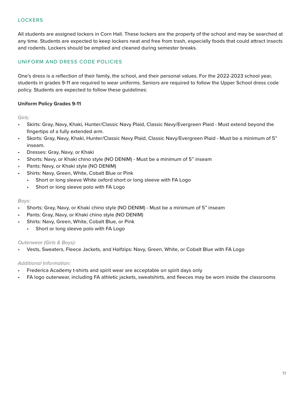# **LOCKERS**

All students are assigned lockers in Corn Hall. These lockers are the property of the school and may be searched at any time. Students are expected to keep lockers neat and free from trash, especially foods that could attract insects and rodents. Lockers should be emptied and cleaned during semester breaks.

# UNIFORM AND DRESS CODE POLICIES

One's dress is a reflection of their family, the school, and their personal values. For the 2022-2023 school year, students in grades 9-11 are required to wear uniforms. Seniors are required to follow the Upper School dress code policy. Students are expected to follow these guidelines:

# **Uniform Policy Grades 9-11**

*Girls:*

- Skirts: Gray, Navy, Khaki, Hunter/Classic Navy Plaid, Classic Navy/Evergreen Plaid Must extend beyond the fingertips of a fully extended arm.
- Skorts: Gray, Navy, Khaki, Hunter/Classic Navy Plaid, Classic Navy/Evergreen Plaid Must be a minimum of 5" inseam.
- Dresses: Gray, Navy, or Khaki
- Shorts: Navy, or Khaki chino style (NO DENIM) Must be a minimum of 5" inseam
- Pants: Navy, or Khaki style (NO DENIM)
- Shirts: Navy, Green, White, Cobalt Blue or Pink
	- Short or long sleeve White oxford short or long sleeve with FA Logo
	- Short or long sleeve polo with FA Logo

# *Boys:*

- Shorts: Gray, Navy, or Khaki chino style (NO DENIM) Must be a minimum of 5" inseam
- Pants: Gray, Navy, or Khaki chino style (NO DENIM)
- Shirts: Navy, Green, White, Cobalt Blue, or Pink
	- Short or long sleeve polo with FA Logo

# *Outerwear (Girls & Boys):*

• Vests, Sweaters, Fleece Jackets, and Halfzips: Navy, Green, White, or Cobalt Blue with FA Logo

# *Additional Information:*

- Frederica Academy t-shirts and spirit wear are acceptable on spirit days only
- FA logo outerwear, including FA athletic jackets, sweatshirts, and fleeces may be worn inside the classrooms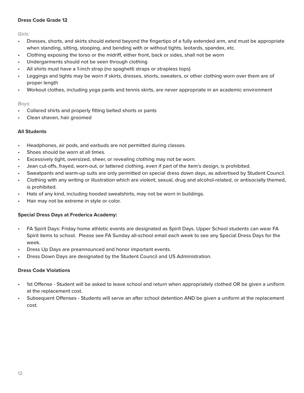# **Dress Code Grade 12**

*Girls:*

- Dresses, shorts, and skirts should extend beyond the fingertips of a fully extended arm, and must be appropriate when standing, sitting, stooping, and bending with or without tights, leotards, spandex, etc.
- Clothing exposing the torso or the midriff, either front, back or sides, shall not be worn
- Undergarments should not be seen through clothing
- All shirts must have a 1-inch strap (no spaghetti straps or strapless tops)
- Leggings and tights may be worn if skirts, dresses, shorts, sweaters, or other clothing worn over them are of proper length
- Workout clothes, including yoga pants and tennis skirts, are never appropriate in an academic environment

## *Boys:*

- Collared shirts and properly fitting belted shorts or pants
- Clean shaven, hair groomed

# **All Students**

- Headphones, air pods, and earbuds are not permitted during classes.
- Shoes should be worn at all times.
- Excessively tight, oversized, sheer, or revealing clothing may not be worn.
- Jean cut-offs, frayed, worn-out, or tattered clothing, even if part of the item's design, is prohibited.
- Sweatpants and warm-up suits are only permitted on special dress down days, as advertised by Student Council.
- Clothing with any writing or illustration which are violent, sexual, drug and alcohol-related, or antisocially themed, is prohibited.
- Hats of any kind, including hooded sweatshirts, may not be worn in buildings.
- Hair may not be extreme in style or color.

# **Special Dress Days at Frederica Academy:**

- FA Spirit Days: Friday home athletic events are designated as Spirit Days. Upper School students can wear FA Spirit items to school. Please see FA Sunday all-school email each week to see any Special Dress Days for the week.
- Dress Up Days are preannounced and honor important events.
- Dress Down Days are designated by the Student Council and US Administration.

# **Dress Code Violations**

- 1st Offense Student will be asked to leave school and return when appropriately clothed OR be given a uniform at the replacement cost.
- Subsequent Offenses Students will serve an after school detention AND be given a uniform at the replacement cost.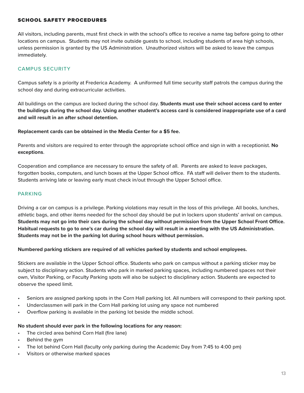# SCHOOL SAFETY PROCEDURES

All visitors, including parents, must first check in with the school's office to receive a name tag before going to other locations on campus. Students may not invite outside guests to school, including students of area high schools, unless permission is granted by the US Administration. Unauthorized visitors will be asked to leave the campus immediately.

# CAMPUS SECURITY

Campus safety is a priority at Frederica Academy. A uniformed full time security staff patrols the campus during the school day and during extracurricular activities.

All buildings on the campus are locked during the school day. **Students must use their school access card to enter the buildings during the school day. Using another student's access card is considered inappropriate use of a card and will result in an after school detention.**

## **Replacement cards can be obtained in the Media Center for a \$5 fee.**

Parents and visitors are required to enter through the appropriate school office and sign in with a receptionist. **No exceptions**.

Cooperation and compliance are necessary to ensure the safety of all. Parents are asked to leave packages, forgotten books, computers, and lunch boxes at the Upper School office. FA staff will deliver them to the students. Students arriving late or leaving early must check in/out through the Upper School office.

# PARKING

Driving a car on campus is a privilege. Parking violations may result in the loss of this privilege. All books, lunches, athletic bags, and other items needed for the school day should be put in lockers upon students' arrival on campus. **Students may not go into their cars during the school day without permission from the Upper School Front Office. Habitual requests to go to one's car during the school day will result in a meeting with the US Administration. Students may not be in the parking lot during school hours without permission.**

# **Numbered parking stickers are required of all vehicles parked by students and school employees.**

Stickers are available in the Upper School office. Students who park on campus without a parking sticker may be subject to disciplinary action. Students who park in marked parking spaces, including numbered spaces not their own, Visitor Parking, or Faculty Parking spots will also be subject to disciplinary action. Students are expected to observe the speed limit.

- Seniors are assigned parking spots in the Corn Hall parking lot. All numbers will correspond to their parking spot.
- Underclassmen will park in the Corn Hall parking lot using any space not numbered
- Overflow parking is available in the parking lot beside the middle school.

#### **No student should ever park in the following locations for any reason:**

- The circled area behind Corn Hall (fire lane)
- Behind the gym
- The lot behind Corn Hall (faculty only parking during the Academic Day from 7:45 to 4:00 pm)
- Visitors or otherwise marked spaces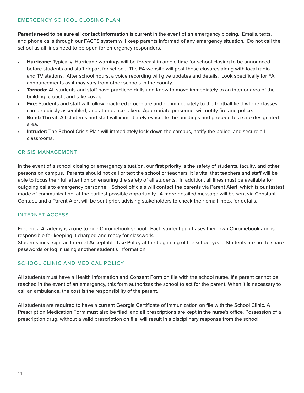# EMERGENCY SCHOOL CLOSING PLAN

**Parents need to be sure all contact information is current** in the event of an emergency closing. Emails, texts, and phone calls through our FACTS system will keep parents informed of any emergency situation. Do not call the school as all lines need to be open for emergency responders.

- **• Hurricane:** Typically, Hurricane warnings will be forecast in ample time for school closing to be announced before students and staff depart for school. The FA website will post these closures along with local radio and TV stations. After school hours, a voice recording will give updates and details. Look specifically for FA announcements as it may vary from other schools in the county.
- **• Tornado:** All students and staff have practiced drills and know to move immediately to an interior area of the building, crouch, and take cover.
- **• Fire:** Students and staff will follow practiced procedure and go immediately to the football field where classes can be quickly assembled, and attendance taken. Appropriate personnel will notify fire and police.
- **• Bomb Threat:** All students and staff will immediately evacuate the buildings and proceed to a safe designated area.
- **• Intruder:** The School Crisis Plan will immediately lock down the campus, notify the police, and secure all classrooms.

# CRISIS MANAGEMENT

In the event of a school closing or emergency situation, our first priority is the safety of students, faculty, and other persons on campus. Parents should not call or text the school or teachers. It is vital that teachers and staff will be able to focus their full attention on ensuring the safety of all students. In addition, all lines must be available for outgoing calls to emergency personnel. School officials will contact the parents via Parent Alert, which is our fastest mode of communicating, at the earliest possible opportunity. A more detailed message will be sent via Constant Contact, and a Parent Alert will be sent prior, advising stakeholders to check their email inbox for details.

# INTERNET ACCESS

Frederica Academy is a one-to-one Chromebook school. Each student purchases their own Chromebook and is responsible for keeping it charged and ready for classwork.

Students must sign an Internet Acceptable Use Policy at the beginning of the school year. Students are not to share passwords or log in using another student's information.

# SCHOOL CLINIC AND MEDICAL POLICY

All students must have a Health Information and Consent Form on file with the school nurse. If a parent cannot be reached in the event of an emergency, this form authorizes the school to act for the parent. When it is necessary to call an ambulance, the cost is the responsibility of the parent.

All students are required to have a current Georgia Certificate of Immunization on file with the School Clinic. A Prescription Medication Form must also be filed, and all prescriptions are kept in the nurse's office. Possession of a prescription drug, without a valid prescription on file, will result in a disciplinary response from the school.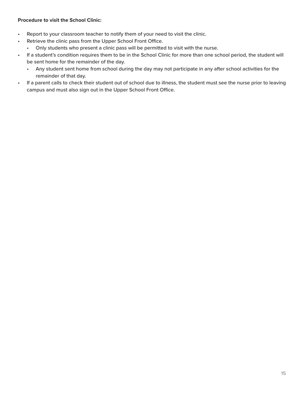# **Procedure to visit the School Clinic:**

- Report to your classroom teacher to notify them of your need to visit the clinic.
- Retrieve the clinic pass from the Upper School Front Office.
	- Only students who present a clinic pass will be permitted to visit with the nurse.
- If a student's condition requires them to be in the School Clinic for more than one school period, the student will be sent home for the remainder of the day.
	- Any student sent home from school during the day may not participate in any after school activities for the remainder of that day.
- If a parent calls to check their student out of school due to illness, the student must see the nurse prior to leaving campus and must also sign out in the Upper School Front Office.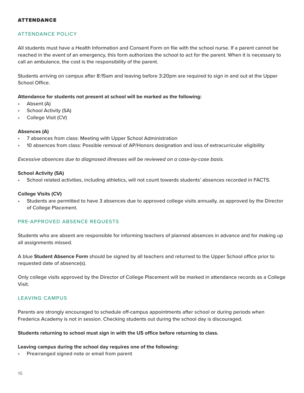## ATTENDANCE

# ATTENDANCE POLICY

All students must have a Health Information and Consent Form on file with the school nurse. If a parent cannot be reached in the event of an emergency, this form authorizes the school to act for the parent. When it is necessary to call an ambulance, the cost is the responsibility of the parent.

Students arriving on campus after 8:15am and leaving before 3:20pm are required to sign in and out at the Upper School Office.

#### **Attendance for students not present at school will be marked as the following:**

- Absent (A)
- School Activity (SA)
- College Visit (CV)

#### **Absences (A)**

- 7 absences from class: Meeting with Upper School Administration
- 10 absences from class: Possible removal of AP/Honors designation and loss of extracurricular eligibility

*Excessive absences due to diagnosed illnesses will be reviewed on a case-by-case basis.*

#### **School Activity (SA)**

• School related activities, including athletics, will not count towards students' absences recorded in FACTS.

#### **College Visits (CV)**

• Students are permitted to have 3 absences due to approved college visits annually, as approved by the Director of College Placement.

## PRE-APPROVED ABSENCE REQUESTS

Students who are absent are responsible for informing teachers of planned absences in advance and for making up all assignments missed.

A blue **Student Absence Form** should be signed by all teachers and returned to the Upper School office prior to requested date of absence(s).

Only college visits approved by the Director of College Placement will be marked in attendance records as a College Visit.

## LEAVING CAMPUS

Parents are strongly encouraged to schedule off-campus appointments after school or during periods when Frederica Academy is not in session. Checking students out during the school day is discouraged.

## **Students returning to school must sign in with the US office before returning to class.**

#### **Leaving campus during the school day requires one of the following:**

• Prearranged signed note or email from parent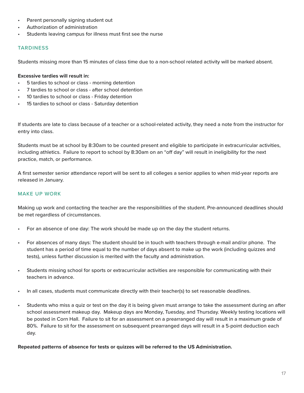- Parent personally signing student out
- Authorization of administration
- Students leaving campus for illness must first see the nurse

# TARDINESS

Students missing more than 15 minutes of class time due to a non-school related activity will be marked absent.

# **Excessive tardies will result in:**

- 5 tardies to school or class morning detention
- 7 tardies to school or class after school detention
- 10 tardies to school or class Friday detention
- 15 tardies to school or class Saturday detention

If students are late to class because of a teacher or a school-related activity, they need a note from the instructor for entry into class.

Students must be at school by 8:30am to be counted present and eligible to participate in extracurricular activities, including athletics. Failure to report to school by 8:30am on an "off day" will result in ineligibility for the next practice, match, or performance.

A first semester senior attendance report will be sent to all colleges a senior applies to when mid-year reports are released in January.

# MAKE UP WORK

Making up work and contacting the teacher are the responsibilities of the student. Pre-announced deadlines should be met regardless of circumstances.

- For an absence of one day: The work should be made up on the day the student returns.
- For absences of many days: The student should be in touch with teachers through e-mail and/or phone. The student has a period of time equal to the number of days absent to make up the work (including quizzes and tests), unless further discussion is merited with the faculty and administration.
- Students missing school for sports or extracurricular activities are responsible for communicating with their teachers in advance.
- In all cases, students must communicate directly with their teacher(s) to set reasonable deadlines.
- Students who miss a quiz or test on the day it is being given must arrange to take the assessment during an after school assessment makeup day. Makeup days are Monday, Tuesday, and Thursday. Weekly testing locations will be posted in Corn Hall. Failure to sit for an assessment on a prearranged day will result in a maximum grade of 80%. Failure to sit for the assessment on subsequent prearranged days will result in a 5-point deduction each day.

**Repeated patterns of absence for tests or quizzes will be referred to the US Administration.**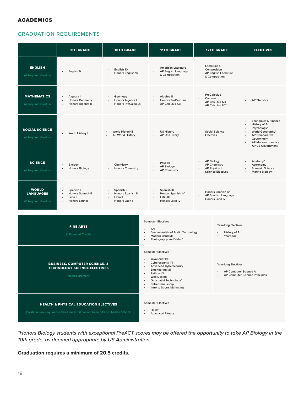## ACADEMICS

# GRADUATION REQUIREMENTS

|                                                                                                                                       | <b>9TH GRADE</b>                                                                   | <b>10TH GRADE</b>                                                                                                   | <b>11TH GRADE</b>                                                                                                                                                                                                                                          |                                          | <b>12TH GRADE</b>                                                                    | <b>ELECTIVES</b>                                                                                                                                                                                                                                                      |  |
|---------------------------------------------------------------------------------------------------------------------------------------|------------------------------------------------------------------------------------|---------------------------------------------------------------------------------------------------------------------|------------------------------------------------------------------------------------------------------------------------------------------------------------------------------------------------------------------------------------------------------------|------------------------------------------|--------------------------------------------------------------------------------------|-----------------------------------------------------------------------------------------------------------------------------------------------------------------------------------------------------------------------------------------------------------------------|--|
| <b>ENGLISH</b><br>(4 Required Credits)                                                                                                | English 9                                                                          | English 10<br>$\bullet$<br>Honors English 10                                                                        | <b>American Literature</b><br>AP English Language<br>& Composition                                                                                                                                                                                         | ٠                                        | Literature &<br>Composition<br><b>AP English Literature</b><br>& Composition         |                                                                                                                                                                                                                                                                       |  |
| <b>MATHEMATICS</b><br>(4 Required Credits)                                                                                            | Algebra I<br>$\bullet$<br><b>Honors Geometry</b><br>Honors Algebra II<br>$\bullet$ | Geometry<br>$\bullet$<br>Honors Algebra II<br>$\bullet$<br><b>Honors PreCalculus</b>                                | Algebra II<br>$\bullet$<br><b>Honors PreCalculus</b><br>$\ddot{\phantom{0}}$<br><b>AP Calculus AB</b>                                                                                                                                                      | Calculus                                 | <b>PreCalculus</b><br><b>AP Calculus AB</b><br>AP Calculus BC*                       | <b>AP Statistics</b>                                                                                                                                                                                                                                                  |  |
| <b>SOCIAL SCIENCE</b><br>(4 Required Credits)                                                                                         | World History I                                                                    | World History II<br>$\bullet$<br><b>AP World History</b><br>$\ddot{\phantom{0}}$                                    | <b>US History</b><br>٠<br><b>AP US History</b><br>$\bullet$                                                                                                                                                                                                | $\ddot{\phantom{0}}$<br><b>Electives</b> | <b>Social Science</b>                                                                | <b>Economics &amp; Finance</b><br>$\bullet$<br><b>History of Art</b><br>$\bullet$<br>Psychology*<br>$\bullet$<br>World Geography*<br>$\bullet$<br><b>AP Comparative</b><br>$\ddot{\phantom{0}}$<br>Government*<br><b>AP Macroeconomics</b><br><b>AP US Government</b> |  |
| <b>SCIENCE</b><br>(4 Required Credits)                                                                                                | Biology<br><b>Honors Biology</b>                                                   | Chemistry<br>$\bullet$<br><b>Honors Chemistry</b>                                                                   | Physics<br><b>AP Biology</b><br><b>AP Chemistry</b>                                                                                                                                                                                                        | $\bullet$<br>$\bullet$                   | <b>AP Biology</b><br><b>AP Chemistry</b><br>AP Physics 1<br><b>Science Electives</b> | Anatomy*<br>$\bullet$<br>Astronomy<br>$\ddot{\phantom{0}}$<br><b>Forensic Science</b><br><b>Marine Biology</b><br>$\bullet$                                                                                                                                           |  |
| <b>WORLD</b><br><b>LANGUAGES</b><br>(3 Required Credits)                                                                              | Spanish I<br>Honors Spanish II<br>Latin I<br>Honors Latin II                       | Spanish II<br>$\bullet$<br><b>Honors Spanish III</b><br>Latin II<br><b>Honors Latin III</b><br>$\ddot{\phantom{0}}$ | Spanish III<br><b>Honors Spanish IV</b><br>Latin III<br>$\bullet$<br><b>Honors Latin IV</b><br>$\ddot{\phantom{0}}$                                                                                                                                        | $\bullet$<br>$\bullet$                   | Honors Spanish IV<br>AP Spanish Language<br><b>Honors Latin IV</b>                   |                                                                                                                                                                                                                                                                       |  |
| <b>FINE ARTS</b><br>(1 Required Credit)                                                                                               |                                                                                    |                                                                                                                     | <b>Semester Electives</b><br><b>Year-long Electives</b><br>Art<br>$\bullet$<br><b>Fundamentals of Audio Technology</b><br>History of Art<br>Yearbook<br>Modern Band I/II<br>Photography and Video*                                                         |                                          |                                                                                      |                                                                                                                                                                                                                                                                       |  |
| <b>BUSINESS, COMPUTER SCIENCE, &amp;</b><br><b>TECHNOLOGY SCIENCE ELECTIVES</b><br>(No Requirement)                                   |                                                                                    |                                                                                                                     | <b>Semester Electives</b><br>JavaScript I/II<br>Cybersecurity I/II<br><b>Advanced Cybersecurity</b><br><b>Engineering I/II</b><br>Python I/II<br><b>Web Design</b><br>Geospatial Technology*<br>Entrepreneurship<br>$\bullet$<br>Intro to Sports Marketing |                                          | <b>Year-long Electives</b>                                                           | AP Computer Science A<br>AP Computer Science Principles                                                                                                                                                                                                               |  |
| <b>HEALTH &amp; PHYSICAL EDUCATION ELECTIVES</b><br>(Freshmen are required to take Health if it has not been taken in Middle School.) |                                                                                    |                                                                                                                     | <b>Semester Electives</b><br>Health<br><b>Advanced Fitness</b>                                                                                                                                                                                             |                                          |                                                                                      |                                                                                                                                                                                                                                                                       |  |

*\*Honors Biology students with exceptional PreACT scores may be offered the opportunity to take AP Biology in the 10th grade, as deemed appropriate by US Administration.*

**Graduation requires a minimum of 20.5 credits.**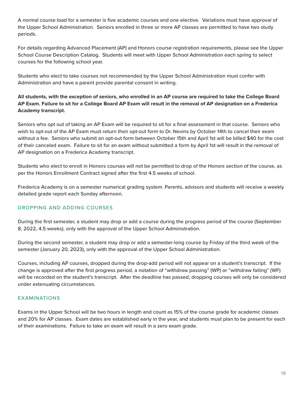A normal course load for a semester is five academic courses and one elective. Variations must have approval of the Upper School Administration. Seniors enrolled in three or more AP classes are permitted to have two study periods.

For details regarding Advanced Placement (AP) and Honors course registration requirements, please see the Upper School Course Description Catalog. Students will meet with Upper School Administration each spring to select courses for the following school year.

Students who elect to take courses not recommended by the Upper School Administration must confer with Administration and have a parent provide parental consent in writing.

# **All students, with the exception of seniors, who enrolled in an AP course are required to take the College Board AP Exam. Failure to sit for a College Board AP Exam will result in the removal of AP designation on a Frederica Academy transcript.**

Seniors who opt out of taking an AP Exam will be required to sit for a final assessment in that course. Seniors who wish to opt-out of the AP Exam must return their opt-out form to Dr. Nevins by October 14th to cancel their exam without a fee. Seniors who submit an opt-out form between October 15th and April 1st will be billed \$40 for the cost of their canceled exam. Failure to sit for an exam without submitted a form by April 1st will result in the removal of AP designation on a Frederica Academy transcript.

Students who elect to enroll in Honors courses will not be permitted to drop of the Honors section of the course, as per the Honors Enrollment Contract signed after the first 4.5 weeks of school.

Frederica Academy is on a semester numerical grading system. Parents, advisors and students will receive a weekly detailed grade report each Sunday afternoon.

# DROPPING AND ADDING COURSES

During the first semester, a student may drop or add a course during the progress period of the course (September 8, 2022, 4.5 weeks), only with the approval of the Upper School Administration.

During the second semester, a student may drop or add a semester-long course by Friday of the third week of the semester (January 20, 2023), only with the approval of the Upper School Administration.

Courses, including AP courses, dropped during the drop-add period will not appear on a student's transcript. If the change is approved after the first progress period, a notation of "withdraw passing" (WP) or "withdraw failing" (WF) will be recorded on the student's transcript. After the deadline has passed, dropping courses will only be considered under extenuating circumstances.

# EXAMINATIONS

Exams in the Upper School will be two hours in length and count as 15% of the course grade for academic classes and 20% for AP classes. Exam dates are established early in the year, and students must plan to be present for each of their examinations. Failure to take an exam will result in a zero exam grade.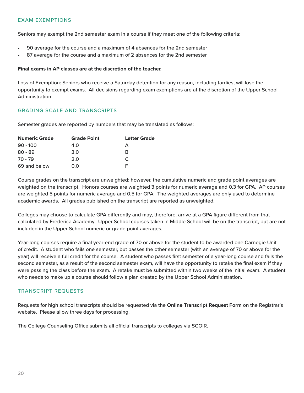## EXAM EXEMPTIONS

Seniors may exempt the 2nd semester exam in a course if they meet one of the following criteria:

- 90 average for the course and a maximum of 4 absences for the 2nd semester
- 87 average for the course and a maximum of 2 absences for the 2nd semester

## **Final exams in AP classes are at the discretion of the teacher.**

Loss of Exemption: Seniors who receive a Saturday detention for any reason, including tardies, will lose the opportunity to exempt exams. All decisions regarding exam exemptions are at the discretion of the Upper School Administration.

# GRADING SCALE AND TRANSCRIPTS

Semester grades are reported by numbers that may be translated as follows:

| <b>Numeric Grade</b> | <b>Grade Point</b> | <b>Letter Grade</b> |  |
|----------------------|--------------------|---------------------|--|
| $90 - 100$           | 4.0                | А                   |  |
| $80 - 89$            | 3.0                | R                   |  |
| $70 - 79$            | 2.0                | C                   |  |
| 69 and below         | 0.O                |                     |  |

Course grades on the transcript are unweighted; however, the cumulative numeric and grade point averages are weighted on the transcript. Honors courses are weighted 3 points for numeric average and 0.3 for GPA. AP courses are weighted 5 points for numeric average and 0.5 for GPA. The weighted averages are only used to determine academic awards. All grades published on the transcript are reported as unweighted.

Colleges may choose to calculate GPA differently and may, therefore, arrive at a GPA figure different from that calculated by Frederica Academy. Upper School courses taken in Middle School will be on the transcript, but are not included in the Upper School numeric or grade point averages.

Year-long courses require a final year-end grade of 70 or above for the student to be awarded one Carnegie Unit of credit. A student who fails one semester, but passes the other semester (with an average of 70 or above for the year) will receive a full credit for the course. A student who passes first semester of a year-long course and fails the second semester, as a result of the second semester exam, will have the opportunity to retake the final exam if they were passing the class before the exam. A retake must be submitted within two weeks of the initial exam. A student who needs to make up a course should follow a plan created by the Upper School Administration.

# TRANSCRIPT REQUESTS

Requests for high school transcripts should be requested via the **Online Transcript Request Form** on the Registrar's website. Please allow three days for processing.

The College Counseling Office submits all official transcripts to colleges via SCOIR.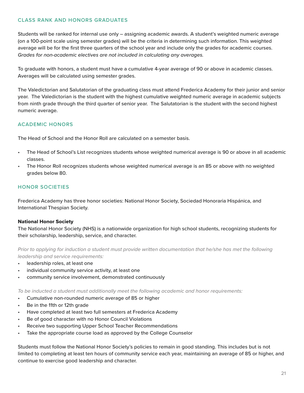# CLASS RANK AND HONORS GRADUATES

Students will be ranked for internal use only – assigning academic awards. A student's weighted numeric average (on a 100-point scale using semester grades) will be the criteria in determining such information. This weighted average will be for the first three quarters of the school year and include only the grades for academic courses. *Grades for non-academic electives are not included in calculating any averages.*

To graduate with honors, a student must have a cumulative 4-year average of 90 or above in academic classes. Averages will be calculated using semester grades.

The Valedictorian and Salutatorian of the graduating class must attend Frederica Academy for their junior and senior year. The Valedictorian is the student with the highest cumulative weighted numeric average in academic subjects from ninth grade through the third quarter of senior year. The Salutatorian is the student with the second highest numeric average.

# ACADEMIC HONORS

The Head of School and the Honor Roll are calculated on a semester basis.

- The Head of School's List recognizes students whose weighted numerical average is 90 or above in all academic classes.
- The Honor Roll recognizes students whose weighted numerical average is an 85 or above with no weighted grades below 80.

# HONOR SOCIETIES

Frederica Academy has three honor societies: National Honor Society, Sociedad Honoraria Hispánica, and International Thespian Society.

# National Honor Society

The National Honor Society (NHS) is a nationwide organization for high school students, recognizing students for their scholarship, leadership, service, and character.

*Prior to applying for induction a student must provide written documentation that he/she has met the following leadership and service requirements:*

- leadership roles, at least one
- individual community service activity, at least one
- community service involvement, demonstrated continuously

*To be inducted a student must additionally meet the following academic and honor requirements:*

- Cumulative non-rounded numeric average of 85 or higher
- Be in the 11th or 12th grade
- Have completed at least two full semesters at Frederica Academy
- Be of good character with no Honor Council Violations
- Receive two supporting Upper School Teacher Recommendations
- Take the appropriate course load as approved by the College Counselor

Students must follow the National Honor Society's policies to remain in good standing. This includes but is not limited to completing at least ten hours of community service each year, maintaining an average of 85 or higher, and continue to exercise good leadership and character.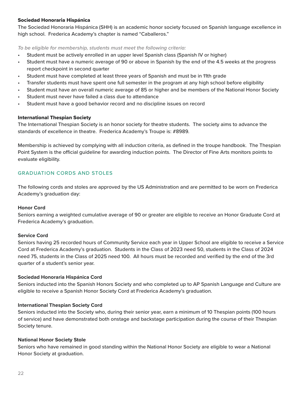# Sociedad Honoraria Hispánica

The Sociedad Honoraria Hispánica (SHH) is an academic honor society focused on Spanish language excellence in high school. Frederica Academy's chapter is named "Caballeros."

*To be eligible for membership, students must meet the following criteria:*

- Student must be actively enrolled in an upper level Spanish class (Spanish IV or higher)
- Student must have a numeric average of 90 or above in Spanish by the end of the 4.5 weeks at the progress report checkpoint in second quarter
- Student must have completed at least three years of Spanish and must be in 11th grade
- Transfer students must have spent one full semester in the program at any high school before eligibility
- Student must have an overall numeric average of 85 or higher and be members of the National Honor Society
- Student must never have failed a class due to attendance
- Student must have a good behavior record and no discipline issues on record

# International Thespian Society

The International Thespian Society is an honor society for theatre students. The society aims to advance the standards of excellence in theatre. Frederica Academy's Troupe is: #8989.

Membership is achieved by complying with all induction criteria, as defined in the troupe handbook. The Thespian Point System is the official guideline for awarding induction points. The Director of Fine Arts monitors points to evaluate eligibility.

# GRADUATION CORDS AND STOLES

The following cords and stoles are approved by the US Administration and are permitted to be worn on Frederica Academy's graduation day:

# **Honor Cord**

Seniors earning a weighted cumulative average of 90 or greater are eligible to receive an Honor Graduate Cord at Frederica Academy's graduation.

# **Service Cord**

Seniors having 25 recorded hours of Community Service each year in Upper School are eligible to receive a Service Cord at Frederica Academy's graduation. Students in the Class of 2023 need 50, students in the Class of 2024 need 75, students in the Class of 2025 need 100. All hours must be recorded and verified by the end of the 3rd quarter of a student's senior year.

# **Sociedad Honoraria Hispánica Cord**

Seniors inducted into the Spanish Honors Society and who completed up to AP Spanish Language and Culture are eligible to receive a Spanish Honor Society Cord at Frederica Academy's graduation.

# **International Thespian Society Cord**

Seniors inducted into the Society who, during their senior year, earn a minimum of 10 Thespian points (100 hours of service) and have demonstrated both onstage and backstage participation during the course of their Thespian Society tenure.

# **National Honor Society Stole**

Seniors who have remained in good standing within the National Honor Society are eligible to wear a National Honor Society at graduation.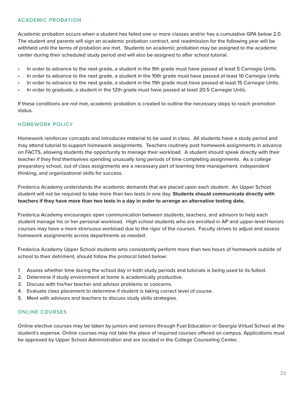# ACADEMIC PROBATION

Academic probation occurs when a student has failed one or more classes and/or has a cumulative GPA below 2.0. The student and parents will sign an academic probation contract, and readmission for the following year will be withheld until the terms of probation are met. Students on academic probation may be assigned to the academic center during their scheduled study period and will also be assigned to after school tutorial.

- In order to advance to the next grade, a student in the 9th grade must have passed at least 5 Carnegie Units.
- In order to advance to the next grade, a student in the 10th grade must have passed at least 10 Carnegie Units.
- In order to advance to the next grade, a student in the 11th grade must have passed at least 15 Carnegie Units.
- In order to graduate, a student in the 12th grade must have passed at least 20.5 Carnegie Units.

If these conditions are not met, academic probation is created to outline the necessary steps to reach promotion status.

# HOMEWORK POLICY

Homework reinforces concepts and introduces material to be used in class. All students have a study period and may attend tutorial to support homework assignments. Teachers routinely post homework assignments in advance on FACTS, allowing students the opportunity to manage their workload. A student should speak directly with their teacher if they find themselves spending unusually long periods of time completing assignments. As a college preparatory school, out of class assignments are a necessary part of learning time management, independent thinking, and organizational skills for success.

Frederica Academy understands the academic demands that are placed upon each student. An Upper School student will not be required to take more than two tests in one day. **Students should communicate directly with teachers if they have more than two tests in a day in order to arrange an alternative testing date.**

Frederica Academy encourages open communication between students, teachers, and advisors to help each student manage his or her personal workload. High school students who are enrolled in AP and upper-level Honors courses may have a more strenuous workload due to the rigor of the courses. Faculty strives to adjust and assess homework assignments across departments as needed.

Frederica Academy Upper School students who consistently perform more than two hours of homework outside of school to their detriment, should follow the protocol listed below:

- 1. Assess whether time during the school day in both study periods and tutorials is being used to its fullest.
- 2. Determine if study environment at home is academically productive.
- 3. Discuss with his/her teacher and advisor problems or concerns.
- 4. Evaluate class placement to determine if student is taking correct level of course.
- 5. Meet with advisors and teachers to discuss study skills strategies.

# ONLINE COURSES

Online elective courses may be taken by juniors and seniors through Fuel Education or Georgia Virtual School at the student's expense. Online courses may not take the place of required courses offered on campus. Applications must be approved by Upper School Administration and are located in the College Counseling Center.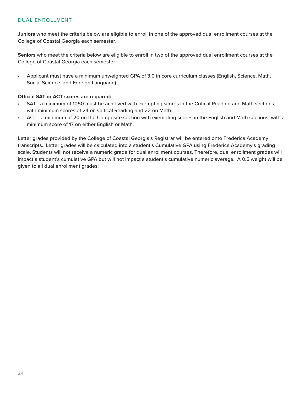# DUAL ENROLLMENT

**Juniors** who meet the criteria below are eligible to enroll in one of the approved dual enrollment courses at the College of Coastal Georgia each semester.

**Seniors** who meet the criteria below are eligible to enroll in two of the approved dual enrollment courses at the College of Coastal Georgia each semester.

• Applicant must have a minimum unweighted GPA of 3.0 in core curriculum classes (English, Science, Math, Social Science, and Foreign Language).

## **Official SAT or ACT scores are required:**

- SAT a minimum of 1050 must be achieved with exempting scores in the Critical Reading and Math sections, with minimum scores of 24 on Critical Reading and 22 on Math.
- ACT a minimum of 20 on the Composite section with exempting scores in the English and Math sections, with a minimum score of 17 on either English or Math.

Letter grades provided by the College of Coastal Georgia's Registrar will be entered onto Frederica Academy transcripts. Letter grades will be calculated into a student's Cumulative GPA using Frederica Academy's grading scale. Students will not receive a numeric grade for dual enrollment courses. Therefore, dual enrollment grades will impact a student's cumulative GPA but will not impact a student's cumulative numeric average. A 0.5 weight will be given to all dual enrollment grades.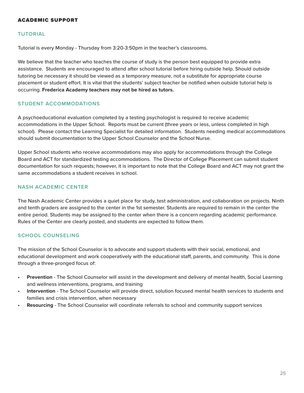## ACADEMIC SUPPORT

# TUTORIAL

Tutorial is every Monday - Thursday from 3:20-3:50pm in the teacher's classrooms.

We believe that the teacher who teaches the course of study is the person best equipped to provide extra assistance. Students are encouraged to attend after school tutorial before hiring outside help. Should outside tutoring be necessary it should be viewed as a temporary measure, not a substitute for appropriate course placement or student effort. It is vital that the students' subject teacher be notified when outside tutorial help is occurring. **Frederica Academy teachers may not be hired as tutors.**

# STUDENT ACCOMMODATIONS

A psychoeducational evaluation completed by a testing psychologist is required to receive academic accommodations in the Upper School. Reports must be current (three years or less, unless completed in high school). Please contact the Learning Specialist for detailed information. Students needing medical accommodations should submit documentation to the Upper School Counselor and the School Nurse.

Upper School students who receive accommodations may also apply for accommodations through the College Board and ACT for standardized testing accommodations. The Director of College Placement can submit student documentation for such requests; however, it is important to note that the College Board and ACT may not grant the same accommodations a student receives in school.

# NASH ACADEMIC CENTER

The Nash Academic Center provides a quiet place for study, test administration, and collaboration on projects. Ninth and tenth graders are assigned to the center in the 1st semester. Students are required to remain in the center the entire period. Students may be assigned to the center when there is a concern regarding academic performance. Rules of the Center are clearly posted, and students are expected to follow them.

# SCHOOL COUNSELING

The mission of the School Counselor is to advocate and support students with their social, emotional, and educational development and work cooperatively with the educational staff, parents, and community. This is done through a three-pronged focus of:

- **• Prevention** The School Counselor will assist in the development and delivery of mental health, Social Learning and wellness interventions, programs, and training
- **• Intervention** The School Counselor will provide direct, solution focused mental health services to students and families and crisis intervention, when necessary
- **• Resourcing** The School Counselor will coordinate referrals to school and community support services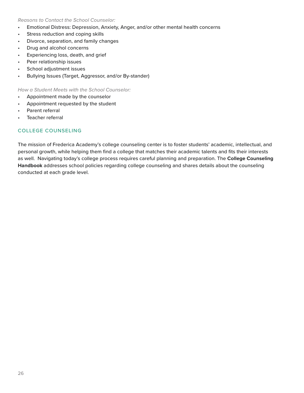# *Reasons to Contact the School Counselor:*

- Emotional Distress: Depression, Anxiety, Anger, and/or other mental health concerns
- Stress reduction and coping skills
- Divorce, separation, and family changes
- Drug and alcohol concerns
- Experiencing loss, death, and grief
- Peer relationship issues
- School adjustment issues
- Bullying Issues (Target, Aggressor, and/or By-stander)

*How a Student Meets with the School Counselor:*

- Appointment made by the counselor
- Appointment requested by the student
- Parent referral
- Teacher referral

# COLLEGE COUNSELING

The mission of Frederica Academy's college counseling center is to foster students' academic, intellectual, and personal growth, while helping them find a college that matches their academic talents and fits their interests as well. Navigating today's college process requires careful planning and preparation. The **College Counseling Handbook** addresses school policies regarding college counseling and shares details about the counseling conducted at each grade level.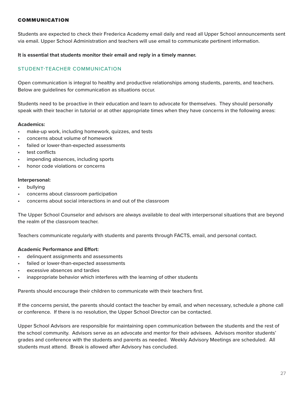# COMMUNICATION

Students are expected to check their Frederica Academy email daily and read all Upper School announcements sent via email. Upper School Administration and teachers will use email to communicate pertinent information.

#### **It is essential that students monitor their email and reply in a timely manner.**

# STUDENT-TEACHER COMMUNICATION

Open communication is integral to healthy and productive relationships among students, parents, and teachers. Below are guidelines for communication as situations occur.

Students need to be proactive in their education and learn to advocate for themselves. They should personally speak with their teacher in tutorial or at other appropriate times when they have concerns in the following areas:

#### **Academics:**

- make-up work, including homework, quizzes, and tests
- concerns about volume of homework
- failed or lower-than-expected assessments
- test conflicts
- impending absences, including sports
- honor code violations or concerns

## **Interpersonal:**

- **bullying**
- concerns about classroom participation
- concerns about social interactions in and out of the classroom

The Upper School Counselor and advisors are always available to deal with interpersonal situations that are beyond the realm of the classroom teacher.

Teachers communicate regularly with students and parents through FACTS, email, and personal contact.

# **Academic Performance and Effort:**

- delinquent assignments and assessments
- failed or lower-than-expected assessments
- excessive absences and tardies
- inappropriate behavior which interferes with the learning of other students

Parents should encourage their children to communicate with their teachers first.

If the concerns persist, the parents should contact the teacher by email, and when necessary, schedule a phone call or conference. If there is no resolution, the Upper School Director can be contacted.

Upper School Advisors are responsible for maintaining open communication between the students and the rest of the school community. Advisors serve as an advocate and mentor for their advisees. Advisors monitor students' grades and conference with the students and parents as needed. Weekly Advisory Meetings are scheduled. All students must attend. Break is allowed after Advisory has concluded.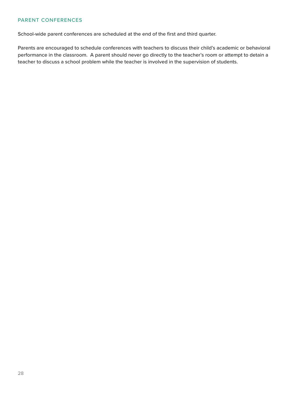# PARENT CONFERENCES

School-wide parent conferences are scheduled at the end of the first and third quarter.

Parents are encouraged to schedule conferences with teachers to discuss their child's academic or behavioral performance in the classroom. A parent should never go directly to the teacher's room or attempt to detain a teacher to discuss a school problem while the teacher is involved in the supervision of students.